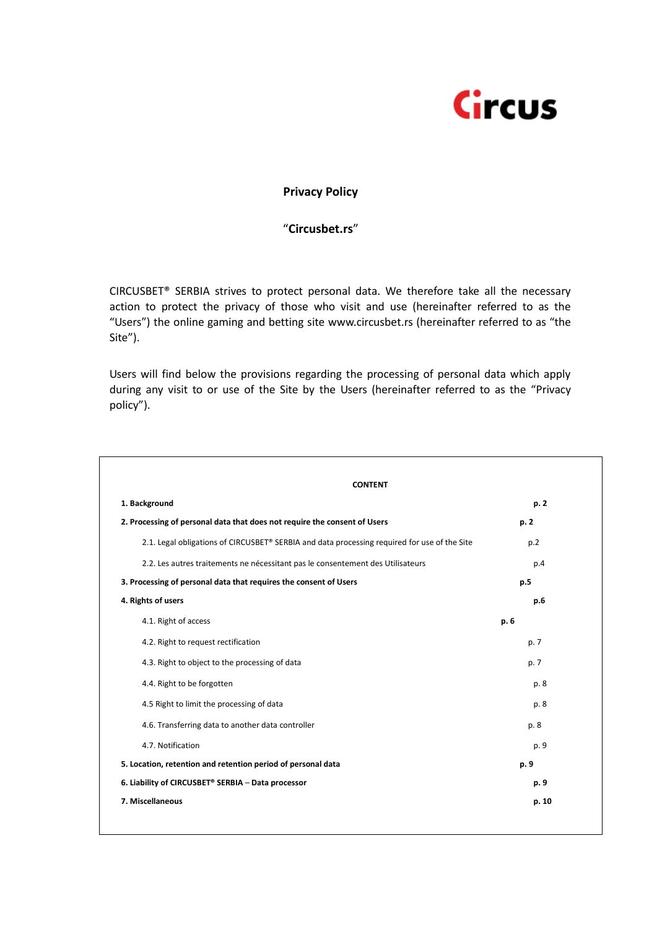

# **Privacy Policy**

# "**Circusbet.rs**"

CIRCUSBET® SERBIA strives to protect personal data. We therefore take all the necessary action to protect the privacy of those who visit and use (hereinafter referred to as the "Users") the online gaming and betting site www.circusbet.rs (hereinafter referred to as "the Site").

Users will find below the provisions regarding the processing of personal data which apply during any visit to or use of the Site by the Users (hereinafter referred to as the "Privacy policy").

| <b>CONTENT</b>                                                                               |       |
|----------------------------------------------------------------------------------------------|-------|
| 1. Background                                                                                | p. 2  |
| 2. Processing of personal data that does not require the consent of Users                    | p. 2  |
| 2.1. Legal obligations of CIRCUSBET® SERBIA and data processing required for use of the Site | p.2   |
| 2.2. Les autres traitements ne nécessitant pas le consentement des Utilisateurs              | p.4   |
| 3. Processing of personal data that requires the consent of Users                            | p.5   |
| 4. Rights of users                                                                           | p.6   |
| 4.1. Right of access                                                                         | p. 6  |
| 4.2. Right to request rectification                                                          | p. 7  |
| 4.3. Right to object to the processing of data                                               | p. 7  |
| 4.4. Right to be forgotten                                                                   | p. 8  |
| 4.5 Right to limit the processing of data                                                    | p. 8  |
| 4.6. Transferring data to another data controller                                            | p. 8  |
| 4.7. Notification                                                                            | p. 9  |
| 5. Location, retention and retention period of personal data                                 | p. 9  |
| 6. Liability of CIRCUSBET® SERBIA - Data processor                                           | p. 9  |
| 7. Miscellaneous                                                                             | p. 10 |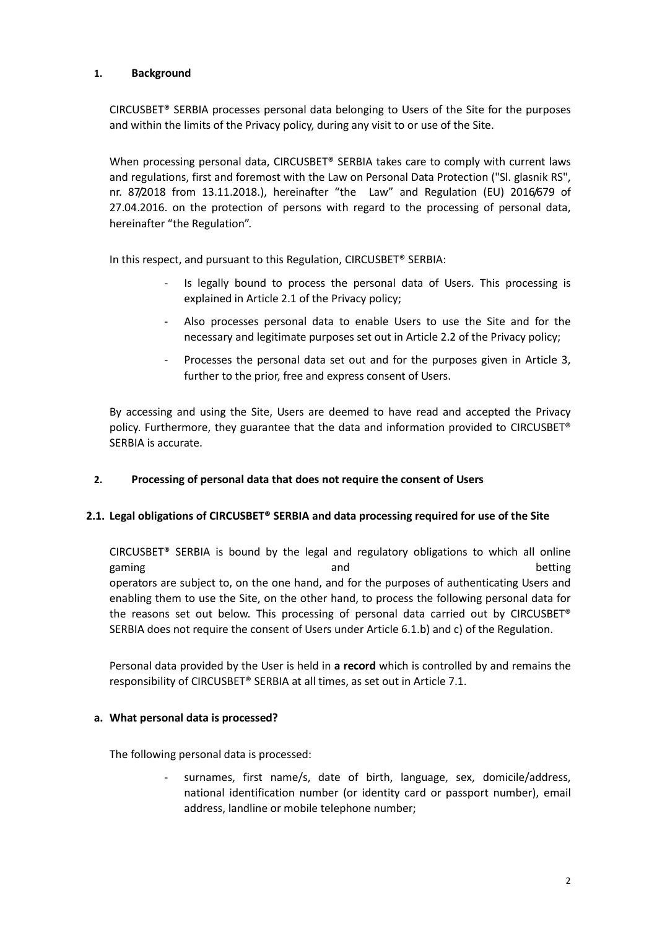# **1. Background**

CIRCUSBET® SERBIA processes personal data belonging to Users of the Site for the purposes and within the limits of the Privacy policy, during any visit to or use of the Site.

When processing personal data, CIRCUSBET® SERBIA takes care to comply with current laws and regulations, first and foremost with the Law on Personal Data Protection ("Sl. glasnik RS", nr. 87/2018 from 13.11.2018.), hereinafter "the Law" and Regulation (EU) 2016/679 of 27.04.2016. on the protection of persons with regard to the processing of personal data, hereinafter "the Regulation".

In this respect, and pursuant to this Regulation, CIRCUSBET® SERBIA:

- Is legally bound to process the personal data of Users. This processing is explained in Article 2.1 of the Privacy policy;
- Also processes personal data to enable Users to use the Site and for the necessary and legitimate purposes set out in Article 2.2 of the Privacy policy;
- Processes the personal data set out and for the purposes given in Article 3, further to the prior, free and express consent of Users.

By accessing and using the Site, Users are deemed to have read and accepted the Privacy policy. Furthermore, they guarantee that the data and information provided to CIRCUSBET® SERBIA is accurate.

# **2. Processing of personal data that does not require the consent of Users**

# **2.1. Legal obligations of CIRCUSBET® SERBIA and data processing required for use of the Site**

CIRCUSBET® SERBIA is bound by the legal and regulatory obligations to which all online gaming betting and betting and betting operators are subject to, on the one hand, and for the purposes of authenticating Users and enabling them to use the Site, on the other hand, to process the following personal data for the reasons set out below. This processing of personal data carried out by CIRCUSBET® SERBIA does not require the consent of Users under Article 6.1.b) and c) of the Regulation.

Personal data provided by the User is held in **a record** which is controlled by and remains the responsibility of CIRCUSBET® SERBIA at all times, as set out in Article 7.1.

#### **a. What personal data is processed?**

The following personal data is processed:

surnames, first name/s, date of birth, language, sex, domicile/address, national identification number (or identity card or passport number), email address, landline or mobile telephone number;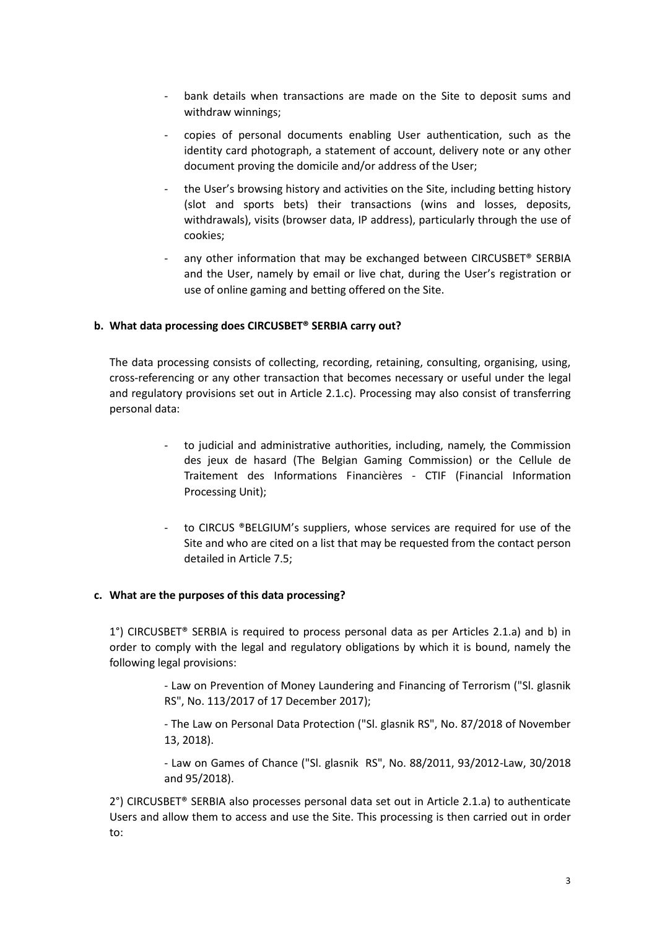- bank details when transactions are made on the Site to deposit sums and withdraw winnings;
- copies of personal documents enabling User authentication, such as the identity card photograph, a statement of account, delivery note or any other document proving the domicile and/or address of the User;
- the User's browsing history and activities on the Site, including betting history (slot and sports bets) their transactions (wins and losses, deposits, withdrawals), visits (browser data, IP address), particularly through the use of cookies;
- any other information that may be exchanged between CIRCUSBET® SERBIA and the User, namely by email or live chat, during the User's registration or use of online gaming and betting offered on the Site.

#### **b. What data processing does CIRCUSBET® SERBIA carry out?**

The data processing consists of collecting, recording, retaining, consulting, organising, using, cross-referencing or any other transaction that becomes necessary or useful under the legal and regulatory provisions set out in Article 2.1.c). Processing may also consist of transferring personal data:

- to judicial and administrative authorities, including, namely, the Commission des jeux de hasard (The Belgian Gaming Commission) or the Cellule de Traitement des Informations Financières - CTIF (Financial Information Processing Unit);
- to CIRCUS ®BELGIUM's suppliers, whose services are required for use of the Site and who are cited on a list that may be requested from the contact person detailed in Article 7.5;

#### **c. What are the purposes of this data processing?**

1°) CIRCUSBET® SERBIA is required to process personal data as per Articles 2.1.a) and b) in order to comply with the legal and regulatory obligations by which it is bound, namely the following legal provisions:

> - Law on Prevention of Money Laundering and Financing of Terrorism ("Sl. glasnik RS", No. 113/2017 of 17 December 2017);

> - The Law on Personal Data Protection ("Sl. glasnik RS", No. 87/2018 of November 13, 2018).

> - Law on Games of Chance ("Sl. glasnik RS", No. 88/2011, 93/2012-Law, 30/2018 and 95/2018).

2°) CIRCUSBET® SERBIA also processes personal data set out in Article 2.1.a) to authenticate Users and allow them to access and use the Site. This processing is then carried out in order to: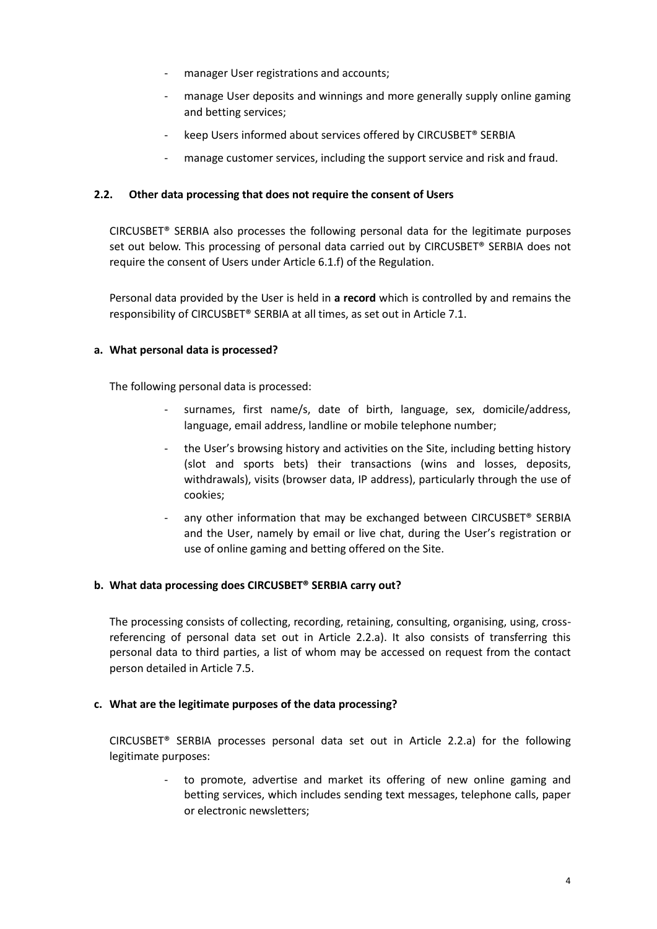- manager User registrations and accounts;
- manage User deposits and winnings and more generally supply online gaming and betting services;
- keep Users informed about services offered by CIRCUSBET® SERBIA
- manage customer services, including the support service and risk and fraud.

### **2.2. Other data processing that does not require the consent of Users**

CIRCUSBET® SERBIA also processes the following personal data for the legitimate purposes set out below. This processing of personal data carried out by CIRCUSBET® SERBIA does not require the consent of Users under Article 6.1.f) of the Regulation.

Personal data provided by the User is held in **a record** which is controlled by and remains the responsibility of CIRCUSBET® SERBIA at all times, as set out in Article 7.1.

#### **a. What personal data is processed?**

The following personal data is processed:

- surnames, first name/s, date of birth, language, sex, domicile/address, language, email address, landline or mobile telephone number;
- the User's browsing history and activities on the Site, including betting history (slot and sports bets) their transactions (wins and losses, deposits, withdrawals), visits (browser data, IP address), particularly through the use of cookies;
- any other information that may be exchanged between CIRCUSBET® SERBIA and the User, namely by email or live chat, during the User's registration or use of online gaming and betting offered on the Site.

#### **b. What data processing does CIRCUSBET® SERBIA carry out?**

The processing consists of collecting, recording, retaining, consulting, organising, using, crossreferencing of personal data set out in Article 2.2.a). It also consists of transferring this personal data to third parties, a list of whom may be accessed on request from the contact person detailed in Article 7.5.

#### **c. What are the legitimate purposes of the data processing?**

CIRCUSBET® SERBIA processes personal data set out in Article 2.2.a) for the following legitimate purposes:

> - to promote, advertise and market its offering of new online gaming and betting services, which includes sending text messages, telephone calls, paper or electronic newsletters;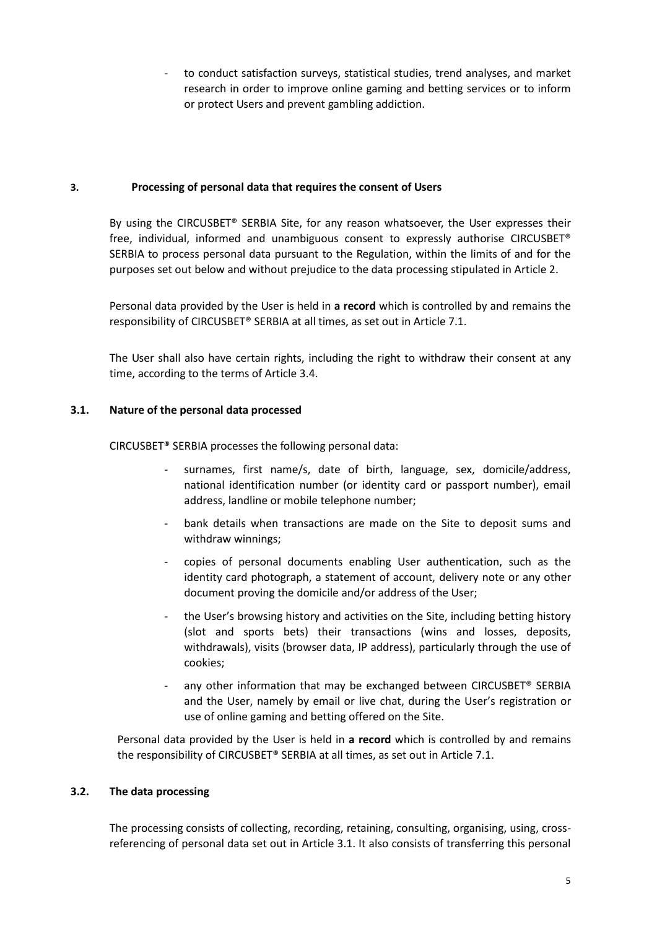to conduct satisfaction surveys, statistical studies, trend analyses, and market research in order to improve online gaming and betting services or to inform or protect Users and prevent gambling addiction.

### **3. Processing of personal data that requires the consent of Users**

By using the CIRCUSBET® SERBIA Site, for any reason whatsoever, the User expresses their free, individual, informed and unambiguous consent to expressly authorise CIRCUSBET® SERBIA to process personal data pursuant to the Regulation, within the limits of and for the purposes set out below and without prejudice to the data processing stipulated in Article 2.

Personal data provided by the User is held in **a record** which is controlled by and remains the responsibility of CIRCUSBET® SERBIA at all times, as set out in Article 7.1.

The User shall also have certain rights, including the right to withdraw their consent at any time, according to the terms of Article 3.4.

# **3.1. Nature of the personal data processed**

CIRCUSBET® SERBIA processes the following personal data:

- surnames, first name/s, date of birth, language, sex, domicile/address, national identification number (or identity card or passport number), email address, landline or mobile telephone number;
- bank details when transactions are made on the Site to deposit sums and withdraw winnings;
- copies of personal documents enabling User authentication, such as the identity card photograph, a statement of account, delivery note or any other document proving the domicile and/or address of the User;
- the User's browsing history and activities on the Site, including betting history (slot and sports bets) their transactions (wins and losses, deposits, withdrawals), visits (browser data, IP address), particularly through the use of cookies;
- any other information that may be exchanged between CIRCUSBET<sup>®</sup> SERBIA and the User, namely by email or live chat, during the User's registration or use of online gaming and betting offered on the Site.

Personal data provided by the User is held in **a record** which is controlled by and remains the responsibility of CIRCUSBET® SERBIA at all times, as set out in Article 7.1.

# **3.2. The data processing**

The processing consists of collecting, recording, retaining, consulting, organising, using, crossreferencing of personal data set out in Article 3.1. It also consists of transferring this personal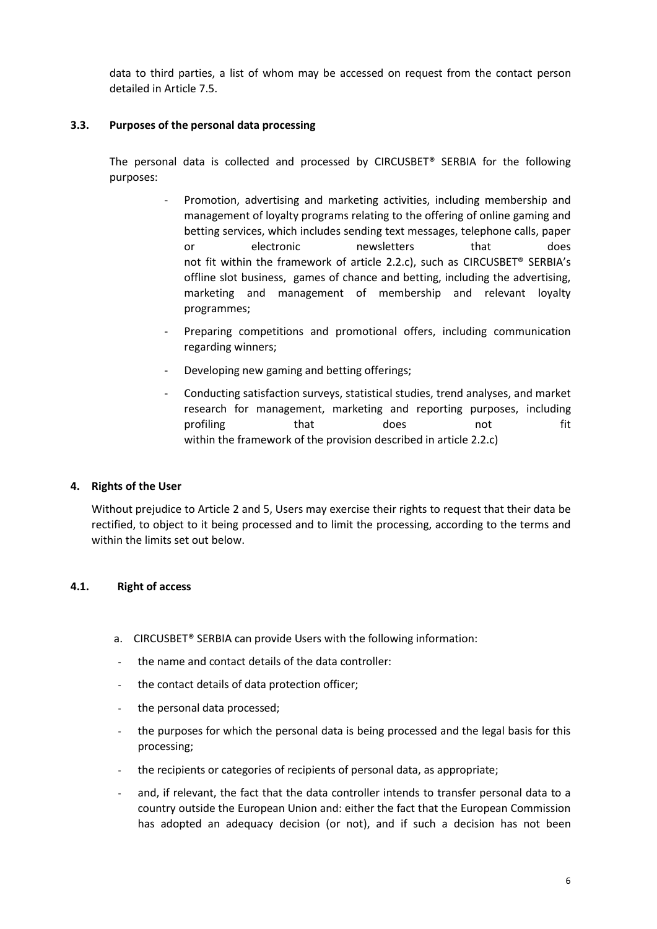data to third parties, a list of whom may be accessed on request from the contact person detailed in Article 7.5.

# **3.3. Purposes of the personal data processing**

The personal data is collected and processed by CIRCUSBET® SERBIA for the following purposes:

- Promotion, advertising and marketing activities, including membership and management of loyalty programs relating to the offering of online gaming and betting services, which includes sending text messages, telephone calls, paper or electronic newsletters that does not fit within the framework of article 2.2.c), such as CIRCUSBET® SERBIA's offline slot business, games of chance and betting, including the advertising, marketing and management of membership and relevant loyalty programmes;
- Preparing competitions and promotional offers, including communication regarding winners;
- Developing new gaming and betting offerings;
- Conducting satisfaction surveys, statistical studies, trend analyses, and market research for management, marketing and reporting purposes, including profiling that does not fit within the framework of the provision described in article 2.2.c)

#### **4. Rights of the User**

Without prejudice to Article 2 and 5, Users may exercise their rights to request that their data be rectified, to object to it being processed and to limit the processing, according to the terms and within the limits set out below.

### **4.1. Right of access**

- a. CIRCUSBET® SERBIA can provide Users with the following information:
- the name and contact details of the data controller:
- the contact details of data protection officer:
- the personal data processed;
- the purposes for which the personal data is being processed and the legal basis for this processing;
- the recipients or categories of recipients of personal data, as appropriate;
- and, if relevant, the fact that the data controller intends to transfer personal data to a country outside the European Union and: either the fact that the European Commission has adopted an adequacy decision (or not), and if such a decision has not been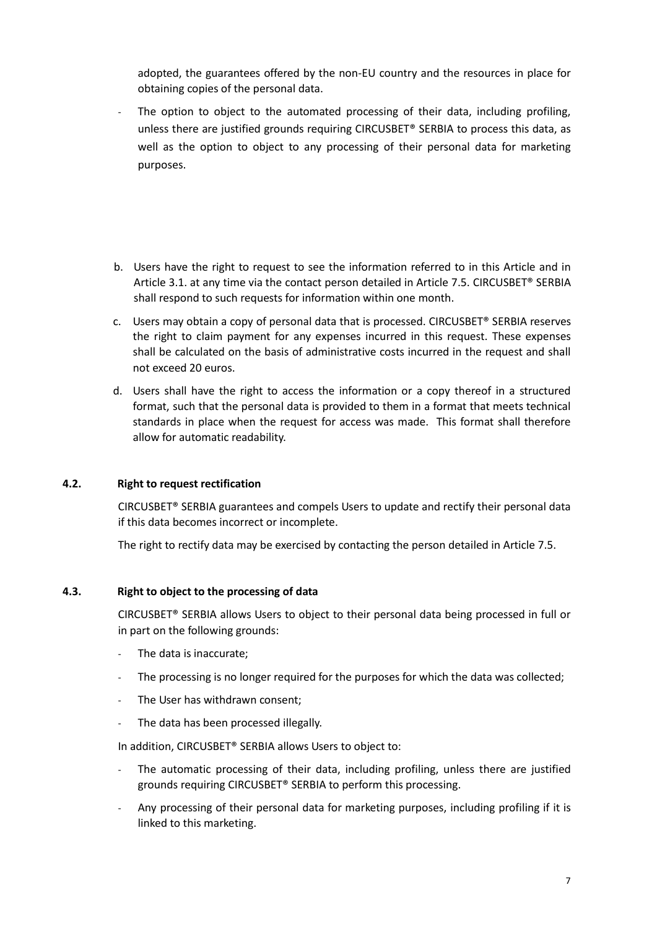adopted, the guarantees offered by the non-EU country and the resources in place for obtaining copies of the personal data.

- The option to object to the automated processing of their data, including profiling, unless there are justified grounds requiring CIRCUSBET® SERBIA to process this data, as well as the option to object to any processing of their personal data for marketing purposes.
- b. Users have the right to request to see the information referred to in this Article and in Article 3.1. at any time via the contact person detailed in Article 7.5. CIRCUSBET® SERBIA shall respond to such requests for information within one month.
- c. Users may obtain a copy of personal data that is processed. CIRCUSBET® SERBIA reserves the right to claim payment for any expenses incurred in this request. These expenses shall be calculated on the basis of administrative costs incurred in the request and shall not exceed 20 euros.
- d. Users shall have the right to access the information or a copy thereof in a structured format, such that the personal data is provided to them in a format that meets technical standards in place when the request for access was made. This format shall therefore allow for automatic readability.

#### **4.2. Right to request rectification**

CIRCUSBET® SERBIA guarantees and compels Users to update and rectify their personal data if this data becomes incorrect or incomplete.

The right to rectify data may be exercised by contacting the person detailed in Article 7.5.

#### **4.3. Right to object to the processing of data**

CIRCUSBET® SERBIA allows Users to object to their personal data being processed in full or in part on the following grounds:

- The data is inaccurate;
- The processing is no longer required for the purposes for which the data was collected;
- The User has withdrawn consent;
- The data has been processed illegally.

In addition, CIRCUSBET® SERBIA allows Users to object to:

- The automatic processing of their data, including profiling, unless there are justified grounds requiring CIRCUSBET® SERBIA to perform this processing.
- Any processing of their personal data for marketing purposes, including profiling if it is linked to this marketing.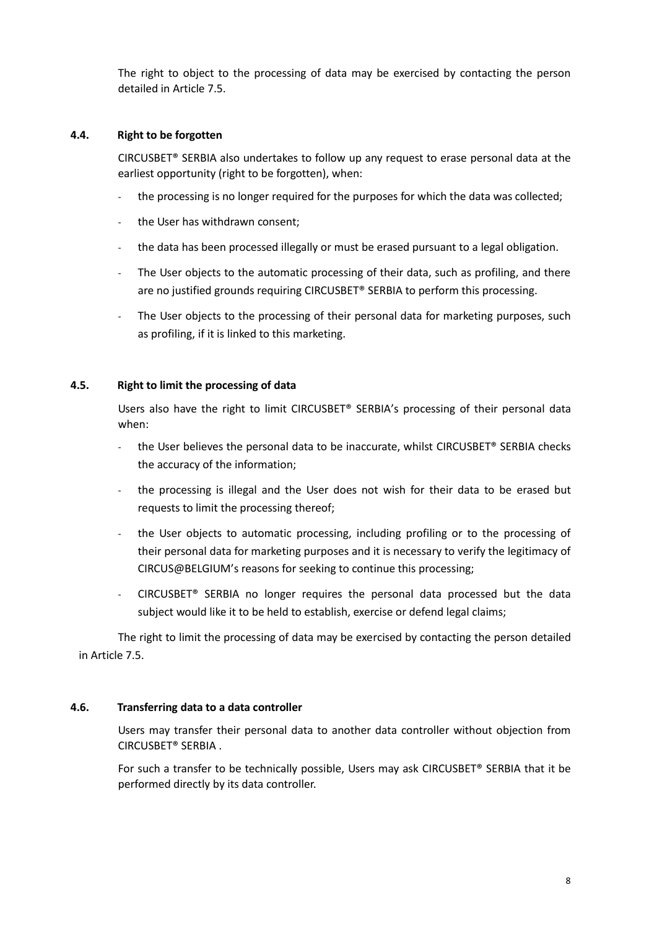The right to object to the processing of data may be exercised by contacting the person detailed in Article 7.5.

#### **4.4. Right to be forgotten**

CIRCUSBET® SERBIA also undertakes to follow up any request to erase personal data at the earliest opportunity (right to be forgotten), when:

- the processing is no longer required for the purposes for which the data was collected;
- the User has withdrawn consent;
- the data has been processed illegally or must be erased pursuant to a legal obligation.
- The User objects to the automatic processing of their data, such as profiling, and there are no justified grounds requiring CIRCUSBET® SERBIA to perform this processing.
- The User objects to the processing of their personal data for marketing purposes, such as profiling, if it is linked to this marketing.

#### **4.5. Right to limit the processing of data**

Users also have the right to limit CIRCUSBET® SERBIA's processing of their personal data when:

- the User believes the personal data to be inaccurate, whilst CIRCUSBET® SERBIA checks the accuracy of the information;
- the processing is illegal and the User does not wish for their data to be erased but requests to limit the processing thereof;
- the User objects to automatic processing, including profiling or to the processing of their personal data for marketing purposes and it is necessary to verify the legitimacy of CIRCUS@BELGIUM's reasons for seeking to continue this processing;
- $CIRCUSBET<sup>®</sup>$  SERBIA no longer requires the personal data processed but the data subject would like it to be held to establish, exercise or defend legal claims;

The right to limit the processing of data may be exercised by contacting the person detailed in Article 7.5.

#### **4.6. Transferring data to a data controller**

Users may transfer their personal data to another data controller without objection from CIRCUSBET® SERBIA .

For such a transfer to be technically possible, Users may ask CIRCUSBET® SERBIA that it be performed directly by its data controller.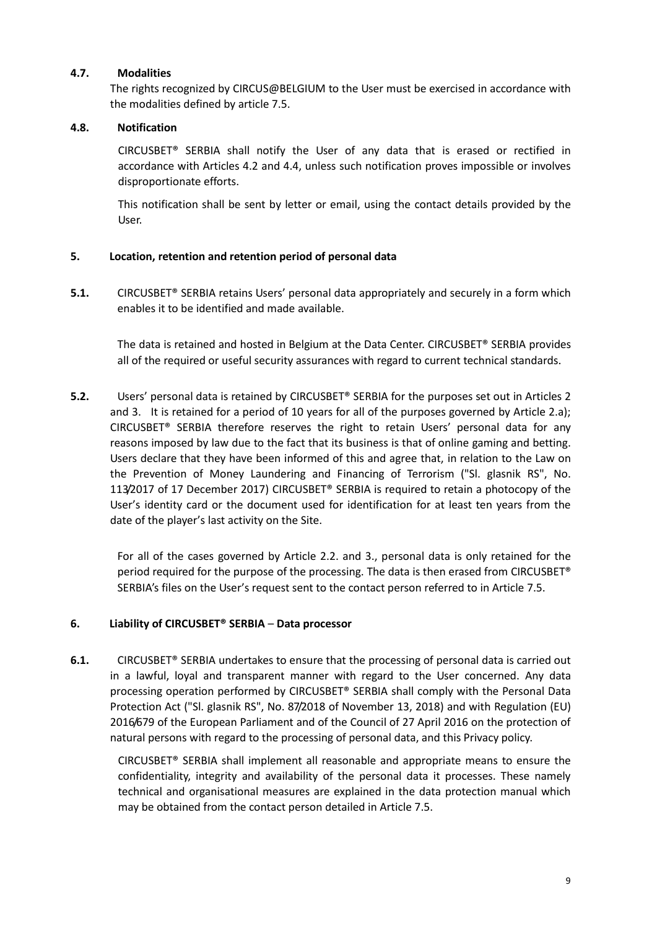# **4.7. Modalities**

The rights recognized by CIRCUS@BELGIUM to the User must be exercised in accordance with the modalities defined by article 7.5.

# **4.8. Notification**

CIRCUSBET® SERBIA shall notify the User of any data that is erased or rectified in accordance with Articles 4.2 and 4.4, unless such notification proves impossible or involves disproportionate efforts.

This notification shall be sent by letter or email, using the contact details provided by the User.

# **5. Location, retention and retention period of personal data**

**5.1.** CIRCUSBET<sup>®</sup> SERBIA retains Users' personal data appropriately and securely in a form which enables it to be identified and made available.

The data is retained and hosted in Belgium at the Data Center. CIRCUSBET® SERBIA provides all of the required or useful security assurances with regard to current technical standards.

**5.2.** Users' personal data is retained by CIRCUSBET® SERBIA for the purposes set out in Articles 2 and 3. It is retained for a period of 10 years for all of the purposes governed by Article 2.a); CIRCUSBET® SERBIA therefore reserves the right to retain Users' personal data for any reasons imposed by law due to the fact that its business is that of online gaming and betting. Users declare that they have been informed of this and agree that, in relation to the Law on the Prevention of Money Laundering and Financing of Terrorism ("Sl. glasnik RS", No. 113/2017 of 17 December 2017) CIRCUSBET® SERBIA is required to retain a photocopy of the User's identity card or the document used for identification for at least ten years from the date of the player's last activity on the Site.

For all of the cases governed by Article 2.2. and 3., personal data is only retained for the period required for the purpose of the processing. The data is then erased from CIRCUSBET® SERBIA's files on the User's request sent to the contact person referred to in Article 7.5.

#### **6. Liability of CIRCUSBET® SERBIA** – **Data processor**

**6.1.** CIRCUSBET® SERBIA undertakes to ensure that the processing of personal data is carried out in a lawful, loyal and transparent manner with regard to the User concerned. Any data processing operation performed by CIRCUSBET® SERBIA shall comply with the Personal Data Protection Act ("Sl. glasnik RS", No. 87/2018 of November 13, 2018) and with Regulation (EU) 2016/679 of the European Parliament and of the Council of 27 April 2016 on the protection of natural persons with regard to the processing of personal data, and this Privacy policy.

CIRCUSBET® SERBIA shall implement all reasonable and appropriate means to ensure the confidentiality, integrity and availability of the personal data it processes. These namely technical and organisational measures are explained in the data protection manual which may be obtained from the contact person detailed in Article 7.5.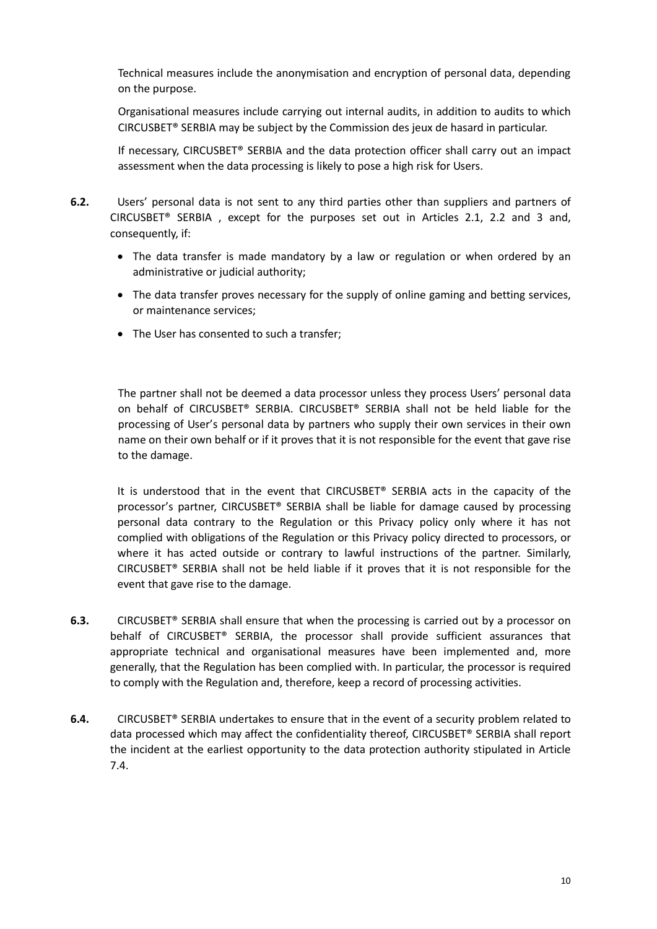Technical measures include the anonymisation and encryption of personal data, depending on the purpose.

Organisational measures include carrying out internal audits, in addition to audits to which CIRCUSBET® SERBIA may be subject by the Commission des jeux de hasard in particular.

If necessary, CIRCUSBET® SERBIA and the data protection officer shall carry out an impact assessment when the data processing is likely to pose a high risk for Users.

- **6.2.** Users' personal data is not sent to any third parties other than suppliers and partners of CIRCUSBET® SERBIA , except for the purposes set out in Articles 2.1, 2.2 and 3 and, consequently, if:
	- The data transfer is made mandatory by a law or regulation or when ordered by an administrative or judicial authority;
	- The data transfer proves necessary for the supply of online gaming and betting services, or maintenance services;
	- The User has consented to such a transfer;

The partner shall not be deemed a data processor unless they process Users' personal data on behalf of CIRCUSBET® SERBIA. CIRCUSBET® SERBIA shall not be held liable for the processing of User's personal data by partners who supply their own services in their own name on their own behalf or if it proves that it is not responsible for the event that gave rise to the damage.

It is understood that in the event that CIRCUSBET® SERBIA acts in the capacity of the processor's partner, CIRCUSBET® SERBIA shall be liable for damage caused by processing personal data contrary to the Regulation or this Privacy policy only where it has not complied with obligations of the Regulation or this Privacy policy directed to processors, or where it has acted outside or contrary to lawful instructions of the partner. Similarly, CIRCUSBET® SERBIA shall not be held liable if it proves that it is not responsible for the event that gave rise to the damage.

- **6.3.** CIRCUSBET® SERBIA shall ensure that when the processing is carried out by a processor on behalf of CIRCUSBET® SERBIA, the processor shall provide sufficient assurances that appropriate technical and organisational measures have been implemented and, more generally, that the Regulation has been complied with. In particular, the processor is required to comply with the Regulation and, therefore, keep a record of processing activities.
- **6.4.** CIRCUSBET® SERBIA undertakes to ensure that in the event of a security problem related to data processed which may affect the confidentiality thereof, CIRCUSBET® SERBIA shall report the incident at the earliest opportunity to the data protection authority stipulated in Article 7.4.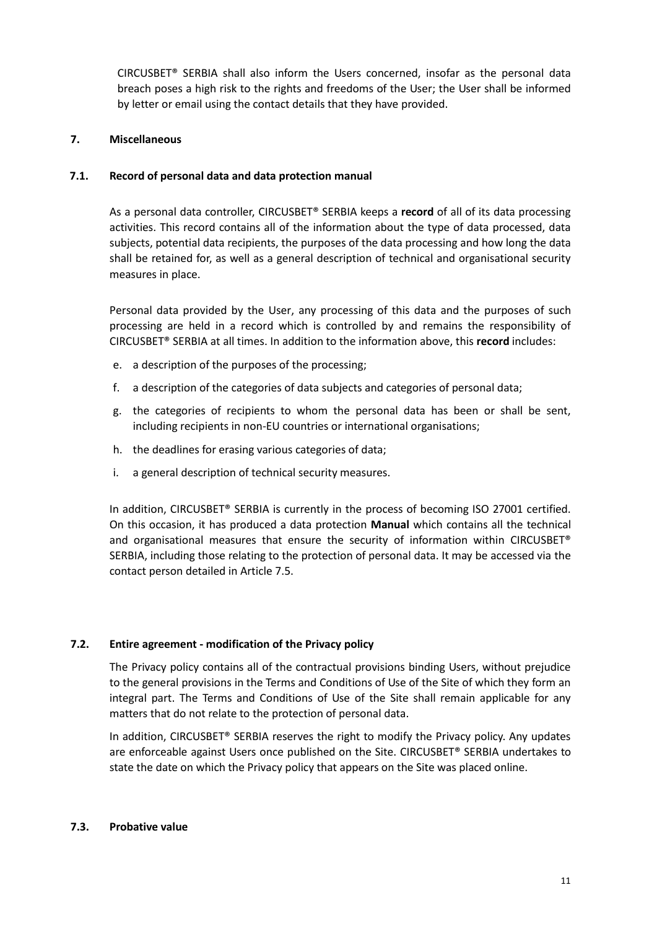CIRCUSBET® SERBIA shall also inform the Users concerned, insofar as the personal data breach poses a high risk to the rights and freedoms of the User; the User shall be informed by letter or email using the contact details that they have provided.

# **7. Miscellaneous**

# **7.1. Record of personal data and data protection manual**

As a personal data controller, CIRCUSBET® SERBIA keeps a **record** of all of its data processing activities. This record contains all of the information about the type of data processed, data subjects, potential data recipients, the purposes of the data processing and how long the data shall be retained for, as well as a general description of technical and organisational security measures in place.

Personal data provided by the User, any processing of this data and the purposes of such processing are held in a record which is controlled by and remains the responsibility of CIRCUSBET® SERBIA at all times. In addition to the information above, this **record** includes:

- e. a description of the purposes of the processing;
- f. a description of the categories of data subjects and categories of personal data;
- g. the categories of recipients to whom the personal data has been or shall be sent, including recipients in non-EU countries or international organisations;
- h. the deadlines for erasing various categories of data;
- i. a general description of technical security measures.

In addition, CIRCUSBET® SERBIA is currently in the process of becoming ISO 27001 certified. On this occasion, it has produced a data protection **Manual** which contains all the technical and organisational measures that ensure the security of information within CIRCUSBET® SERBIA, including those relating to the protection of personal data. It may be accessed via the contact person detailed in Article 7.5.

# **7.2. Entire agreement - modification of the Privacy policy**

The Privacy policy contains all of the contractual provisions binding Users, without prejudice to the general provisions in the Terms and Conditions of Use of the Site of which they form an integral part. The Terms and Conditions of Use of the Site shall remain applicable for any matters that do not relate to the protection of personal data.

In addition, CIRCUSBET® SERBIA reserves the right to modify the Privacy policy. Any updates are enforceable against Users once published on the Site. CIRCUSBET® SERBIA undertakes to state the date on which the Privacy policy that appears on the Site was placed online.

#### **7.3. Probative value**